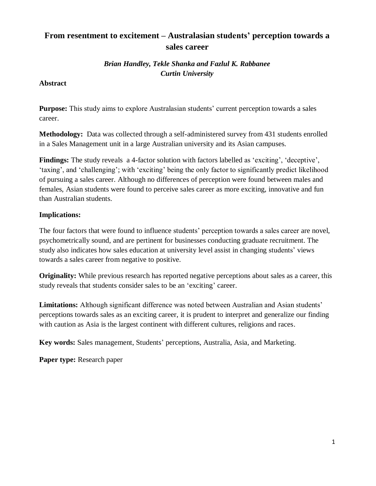## **From resentment to excitement – Australasian students' perception towards a sales career**

## *Brian Handley, Tekle Shanka and Fazlul K. Rabbanee Curtin University*

## **Abstract**

**Purpose:** This study aims to explore Australasian students' current perception towards a sales career.

**Methodology:** Data was collected through a self-administered survey from 431 students enrolled in a Sales Management unit in a large Australian university and its Asian campuses.

**Findings:** The study reveals a 4-factor solution with factors labelled as 'exciting', 'deceptive', 'taxing', and 'challenging'; with 'exciting' being the only factor to significantly predict likelihood of pursuing a sales career. Although no differences of perception were found between males and females, Asian students were found to perceive sales career as more exciting, innovative and fun than Australian students.

## **Implications:**

The four factors that were found to influence students' perception towards a sales career are novel, psychometrically sound, and are pertinent for businesses conducting graduate recruitment. The study also indicates how sales education at university level assist in changing students' views towards a sales career from negative to positive.

**Originality:** While previous research has reported negative perceptions about sales as a career, this study reveals that students consider sales to be an 'exciting' career.

**Limitations:** Although significant difference was noted between Australian and Asian students' perceptions towards sales as an exciting career, it is prudent to interpret and generalize our finding with caution as Asia is the largest continent with different cultures, religions and races.

**Key words:** Sales management, Students' perceptions, Australia, Asia, and Marketing.

**Paper type:** Research paper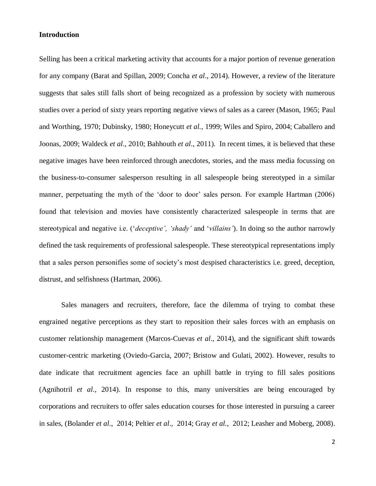#### **Introduction**

Selling has been a critical marketing activity that accounts for a major portion of revenue generation for any company (Barat and Spillan, 2009; Concha *et al*., 2014). However, a review of the literature suggests that sales still falls short of being recognized as a profession by society with numerous studies over a period of sixty years reporting negative views of sales as a career (Mason, 1965; Paul and Worthing, 1970; Dubinsky, 1980; Honeycutt *et al.*, 1999; Wiles and Spiro, 2004; Caballero and Joonas, 2009; Waldeck *et al*., 2010; Bahhouth *et al*., 2011). In recent times, it is believed that these negative images have been reinforced through anecdotes, stories, and the mass media focussing on the business-to-consumer salesperson resulting in all salespeople being stereotyped in a similar manner, perpetuating the myth of the 'door to door' sales person. For example Hartman (2006) found that television and movies have consistently characterized salespeople in terms that are stereotypical and negative i.e. ('*deceptive', 'shady'* and '*villains'*). In doing so the author narrowly defined the task requirements of professional salespeople. These stereotypical representations imply that a sales person personifies some of society's most despised characteristics i.e. greed, deception, distrust, and selfishness (Hartman, 2006).

Sales managers and recruiters, therefore, face the dilemma of trying to combat these engrained negative perceptions as they start to reposition their sales forces with an emphasis on customer relationship management (Marcos-Cuevas *et al*., 2014), and the significant shift towards customer-centric marketing (Oviedo-Garcia, 2007; Bristow and Gulati, 2002). However, results to date indicate that recruitment agencies face an uphill battle in trying to fill sales positions (Agnihotril *et al*., 2014). In response to this, many universities are being encouraged by corporations and recruiters to offer sales education courses for those interested in pursuing a career in sales, (Bolander *et al*., 2014; Peltier *et al*., 2014; Gray *et al.*, 2012; Leasher and Moberg, 2008).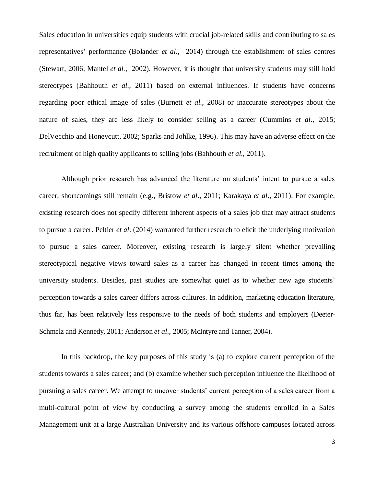Sales education in universities equip students with crucial job-related skills and contributing to sales representatives' performance (Bolander *et al*., 2014) through the establishment of sales centres (Stewart, 2006; Mantel *et al.*, 2002). However, it is thought that university students may still hold stereotypes (Bahhouth *et al*., 2011) based on external influences. If students have concerns regarding poor ethical image of sales (Burnett *et al.*, 2008) or inaccurate stereotypes about the nature of sales, they are less likely to consider selling as a career (Cummins *et al*., 2015; DelVecchio and Honeycutt, 2002; Sparks and Johlke, 1996). This may have an adverse effect on the recruitment of high quality applicants to selling jobs (Bahhouth *et al*., 2011).

Although prior research has advanced the literature on students' intent to pursue a sales career, shortcomings still remain (e.g., Bristow *et al*., 2011; Karakaya *et al*., 2011). For example, existing research does not specify different inherent aspects of a sales job that may attract students to pursue a career. Peltier *et al*. (2014) warranted further research to elicit the underlying motivation to pursue a sales career. Moreover, existing research is largely silent whether prevailing stereotypical negative views toward sales as a career has changed in recent times among the university students. Besides, past studies are somewhat quiet as to whether new age students' perception towards a sales career differs across cultures. In addition, marketing education literature, thus far, has been relatively less responsive to the needs of both students and employers (Deeter-Schmelz and Kennedy, 2011; Anderson *et al*., 2005; McIntyre and Tanner, 2004).

In this backdrop, the key purposes of this study is (a) to explore current perception of the students towards a sales career; and (b) examine whether such perception influence the likelihood of pursuing a sales career. We attempt to uncover students' current perception of a sales career from a multi-cultural point of view by conducting a survey among the students enrolled in a Sales Management unit at a large Australian University and its various offshore campuses located across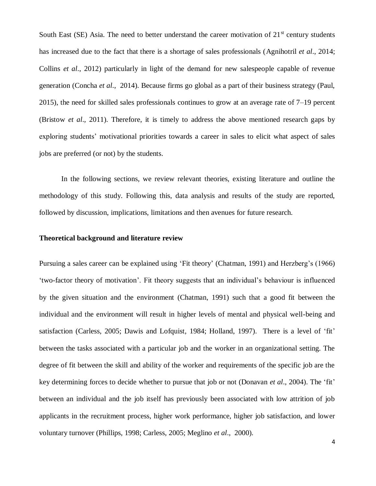South East (SE) Asia. The need to better understand the career motivation of  $21<sup>st</sup>$  century students has increased due to the fact that there is a shortage of sales professionals (Agnihotril *et al*., 2014; Collins *et al*., 2012) particularly in light of the demand for new salespeople capable of revenue generation (Concha *et al*., 2014). Because firms go global as a part of their business strategy (Paul, 2015), the need for skilled sales professionals continues to grow at an average rate of 7–19 percent (Bristow *et al*., 2011). Therefore, it is timely to address the above mentioned research gaps by exploring students' motivational priorities towards a career in sales to elicit what aspect of sales jobs are preferred (or not) by the students.

In the following sections, we review relevant theories, existing literature and outline the methodology of this study. Following this, data analysis and results of the study are reported, followed by discussion, implications, limitations and then avenues for future research.

#### **Theoretical background and literature review**

Pursuing a sales career can be explained using 'Fit theory' (Chatman, 1991) and Herzberg's (1966) 'two-factor theory of motivation'. Fit theory suggests that an individual's behaviour is influenced by the given situation and the environment (Chatman, 1991) such that a good fit between the individual and the environment will result in higher levels of mental and physical well-being and satisfaction (Carless, 2005; Dawis and Lofquist, 1984; Holland, 1997). There is a level of 'fit' between the tasks associated with a particular job and the worker in an organizational setting. The degree of fit between the skill and ability of the worker and requirements of the specific job are the key determining forces to decide whether to pursue that job or not (Donavan *et al*., 2004). The 'fit' between an individual and the job itself has previously been associated with low attrition of job applicants in the recruitment process, higher work performance, higher job satisfaction, and lower voluntary turnover (Phillips, 1998; Carless, 2005; Meglino *et al*., 2000).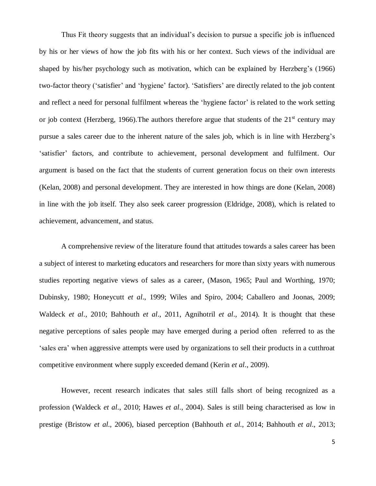Thus Fit theory suggests that an individual's decision to pursue a specific job is influenced by his or her views of how the job fits with his or her context. Such views of the individual are shaped by his/her psychology such as motivation, which can be explained by Herzberg's (1966) two-factor theory ('satisfier' and 'hygiene' factor). 'Satisfiers' are directly related to the job content and reflect a need for personal fulfilment whereas the 'hygiene factor' is related to the work setting or job context (Herzberg, 1966). The authors therefore argue that students of the  $21<sup>st</sup>$  century may pursue a sales career due to the inherent nature of the sales job, which is in line with Herzberg's 'satisfier' factors, and contribute to achievement, personal development and fulfilment. Our argument is based on the fact that the students of current generation focus on their own interests (Kelan, 2008) and personal development. They are interested in how things are done (Kelan, 2008) in line with the job itself. They also seek career progression (Eldridge, 2008), which is related to achievement, advancement, and status.

A comprehensive review of the literature found that attitudes towards a sales career has been a subject of interest to marketing educators and researchers for more than sixty years with numerous studies reporting negative views of sales as a career, (Mason, 1965; Paul and Worthing, 1970; Dubinsky, 1980; Honeycutt *et al*., 1999; Wiles and Spiro, 2004; Caballero and Joonas, 2009; Waldeck *et al*., 2010; Bahhouth *et al*., 2011, Agnihotril *et al*., 2014). It is thought that these negative perceptions of sales people may have emerged during a period often referred to as the 'sales era' when aggressive attempts were used by organizations to sell their products in a cutthroat competitive environment where supply exceeded demand (Kerin *et al*., 2009).

However, recent research indicates that sales still falls short of being recognized as a profession (Waldeck *et al*., 2010; Hawes *et al*., 2004). Sales is still being characterised as low in prestige (Bristow *et al*., 2006), biased perception (Bahhouth *et al*., 2014; Bahhouth *et al*., 2013;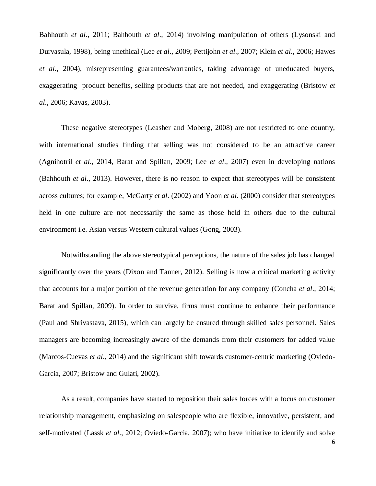Bahhouth *et al*., 2011; Bahhouth *et al*., 2014) involving manipulation of others (Lysonski and Durvasula, 1998), being unethical (Lee *et al*., 2009; Pettijohn *et al*., 2007; Klein *et al*., 2006; Hawes *et al*., 2004), misrepresenting guarantees/warranties, taking advantage of uneducated buyers, exaggerating product benefits, selling products that are not needed, and exaggerating (Bristow *et al*., 2006; Kavas, 2003).

These negative stereotypes (Leasher and Moberg, 2008) are not restricted to one country, with international studies finding that selling was not considered to be an attractive career (Agnihotril *et al*., 2014, Barat and Spillan, 2009; Lee *et al*., 2007) even in developing nations (Bahhouth *et al*., 2013). However, there is no reason to expect that stereotypes will be consistent across cultures; for example, McGarty *et al*. (2002) and Yoon *et al*. (2000) consider that stereotypes held in one culture are not necessarily the same as those held in others due to the cultural environment i.e. Asian versus Western cultural values (Gong, 2003).

Notwithstanding the above stereotypical perceptions, the nature of the sales job has changed significantly over the years (Dixon and Tanner, 2012). Selling is now a critical marketing activity that accounts for a major portion of the revenue generation for any company (Concha *et al*., 2014; Barat and Spillan, 2009). In order to survive, firms must continue to enhance their performance (Paul and Shrivastava, 2015), which can largely be ensured through skilled sales personnel. Sales managers are becoming increasingly aware of the demands from their customers for added value (Marcos-Cuevas *et al*., 2014) and the significant shift towards customer-centric marketing (Oviedo-Garcia, 2007; Bristow and Gulati, 2002).

As a result, companies have started to reposition their sales forces with a focus on customer relationship management, emphasizing on salespeople who are flexible, innovative, persistent, and self-motivated (Lassk *et al*., 2012; Oviedo-Garcia, 2007); who have initiative to identify and solve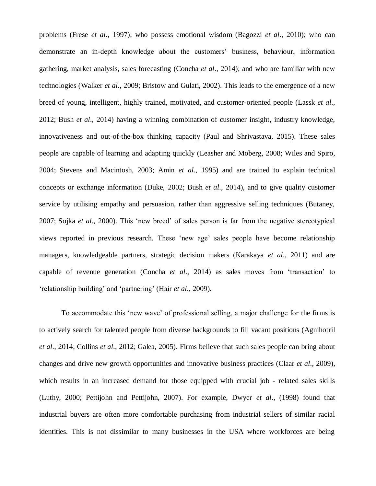problems (Frese *et al*., 1997); who possess emotional wisdom (Bagozzi *et al*., 2010); who can demonstrate an in-depth knowledge about the customers' business, behaviour, information gathering, market analysis, sales forecasting (Concha *et al*., 2014); and who are familiar with new technologies (Walker *et al*., 2009; Bristow and Gulati, 2002). This leads to the emergence of a new breed of young, intelligent, highly trained, motivated, and customer-oriented people (Lassk *et al*., 2012; Bush *et al*., 2014) having a winning combination of customer insight, industry knowledge, innovativeness and out-of-the-box thinking capacity (Paul and Shrivastava, 2015). These sales people are capable of learning and adapting quickly (Leasher and Moberg, 2008; Wiles and Spiro, 2004; Stevens and Macintosh, 2003; Amin *et al*., 1995) and are trained to explain technical concepts or exchange information (Duke, 2002; Bush *et al*., 2014), and to give quality customer service by utilising empathy and persuasion, rather than aggressive selling techniques (Butaney, 2007; Sojka *et al*., 2000). This 'new breed' of sales person is far from the negative stereotypical views reported in previous research. These 'new age' sales people have become relationship managers, knowledgeable partners, strategic decision makers (Karakaya *et al*., 2011) and are capable of revenue generation (Concha *et al*., 2014) as sales moves from 'transaction' to 'relationship building' and 'partnering' (Hair *et al*., 2009).

To accommodate this 'new wave' of professional selling, a major challenge for the firms is to actively search for talented people from diverse backgrounds to fill vacant positions (Agnihotril *et al*., 2014; Collins *et al*., 2012; Galea, 2005). Firms believe that such sales people can bring about changes and drive new growth opportunities and innovative business practices (Claar *et al*., 2009), which results in an increased demand for those equipped with crucial job - related sales skills (Luthy, 2000; Pettijohn and Pettijohn, 2007). For example, Dwyer *et al*., (1998) found that industrial buyers are often more comfortable purchasing from industrial sellers of similar racial identities. This is not dissimilar to many businesses in the USA where workforces are being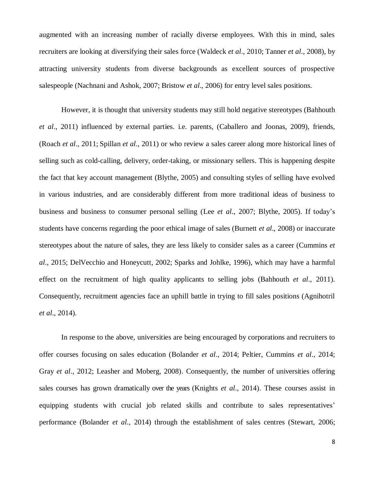augmented with an increasing number of racially diverse employees. With this in mind, sales recruiters are looking at diversifying their sales force (Waldeck *et al*., 2010; Tanner *et al*., 2008), by attracting university students from diverse backgrounds as excellent sources of prospective salespeople (Nachnani and Ashok, 2007; Bristow *et al*., 2006) for entry level sales positions.

However, it is thought that university students may still hold negative stereotypes (Bahhouth *et al*., 2011) influenced by external parties. i.e. parents, (Caballero and Joonas, 2009), friends, (Roach *et al*., 2011; Spillan *et al*., 2011) or who review a sales career along more historical lines of selling such as cold-calling, delivery, order-taking, or missionary sellers. This is happening despite the fact that key account management (Blythe, 2005) and consulting styles of selling have evolved in various industries, and are considerably different from more traditional ideas of business to business and business to consumer personal selling (Lee *et al*., 2007; Blythe, 2005). If today's students have concerns regarding the poor ethical image of sales (Burnett *et al*., 2008) or inaccurate stereotypes about the nature of sales, they are less likely to consider sales as a career (Cummins *et al*., 2015; DelVecchio and Honeycutt, 2002; Sparks and Johlke, 1996), which may have a harmful effect on the recruitment of high quality applicants to selling jobs (Bahhouth *et al*., 2011). Consequently, recruitment agencies face an uphill battle in trying to fill sales positions (Agnihotril *et al*., 2014).

In response to the above, universities are being encouraged by corporations and recruiters to offer courses focusing on sales education (Bolander *et al*., 2014; Peltier, Cummins *et al*., 2014; Gray *et al*., 2012; Leasher and Moberg, 2008). Consequently, the number of universities offering sales courses has grown dramatically over the years (Knights *et al*., 2014). These courses assist in equipping students with crucial job related skills and contribute to sales representatives' performance (Bolander *et al*., 2014) through the establishment of sales centres (Stewart, 2006;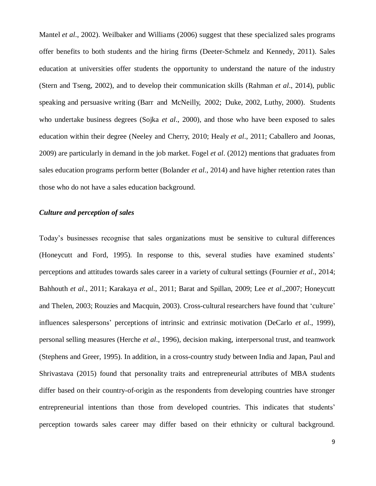Mantel *et al*., 2002). Weilbaker and Williams (2006) suggest that these specialized sales programs offer benefits to both students and the hiring firms (Deeter-Schmelz and Kennedy, 2011). Sales education at universities offer students the opportunity to understand the nature of the industry (Stern and Tseng, 2002), and to develop their communication skills (Rahman *et al*., 2014), public speaking and persuasive writing (Barr and McNeilly, 2002; Duke, 2002, Luthy, 2000). Students who undertake business degrees (Sojka *et al*., 2000), and those who have been exposed to sales education within their degree (Neeley and Cherry, 2010; Healy *et al*., 2011; Caballero and Joonas, 2009) are particularly in demand in the job market. Fogel *et al*. (2012) mentions that graduates from sales education programs perform better (Bolander *et al*., 2014) and have higher retention rates than those who do not have a sales education background.

#### *Culture and perception of sales*

Today's businesses recognise that sales organizations must be sensitive to cultural differences (Honeycutt and Ford, 1995). In response to this, several studies have examined students' perceptions and attitudes towards sales career in a variety of cultural settings (Fournier *et al*., 2014; Bahhouth *et al*., 2011; Karakaya *et al*., 2011; Barat and Spillan, 2009; Lee *et al*.,2007; Honeycutt and Thelen, 2003; Rouzies and Macquin, 2003). Cross-cultural researchers have found that 'culture' influences salespersons' perceptions of intrinsic and extrinsic motivation (DeCarlo *et al*., 1999), personal selling measures (Herche *et al*., 1996), decision making, interpersonal trust, and teamwork (Stephens and Greer, 1995). In addition, in a cross-country study between India and Japan, Paul and Shrivastava (2015) found that personality traits and entrepreneurial attributes of MBA students differ based on their country-of-origin as the respondents from developing countries have stronger entrepreneurial intentions than those from developed countries. This indicates that students' perception towards sales career may differ based on their ethnicity or cultural background.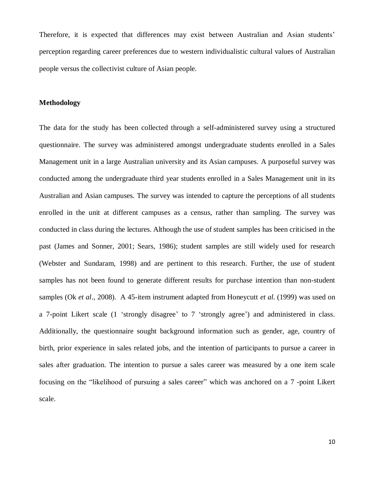Therefore, it is expected that differences may exist between Australian and Asian students' perception regarding career preferences due to western individualistic cultural values of Australian people versus the collectivist culture of Asian people.

#### **Methodology**

The data for the study has been collected through a self-administered survey using a structured questionnaire. The survey was administered amongst undergraduate students enrolled in a Sales Management unit in a large Australian university and its Asian campuses. A purposeful survey was conducted among the undergraduate third year students enrolled in a Sales Management unit in its Australian and Asian campuses. The survey was intended to capture the perceptions of all students enrolled in the unit at different campuses as a census, rather than sampling. The survey was conducted in class during the lectures. Although the use of student samples has been criticised in the past (James and Sonner, 2001; Sears, 1986); student samples are still widely used for research (Webster and Sundaram, 1998) and are pertinent to this research. Further, the use of student samples has not been found to generate different results for purchase intention than non-student samples (Ok *et al*., 2008). A 45-item instrument adapted from Honeycutt *et al*. (1999) was used on a 7-point Likert scale (1 'strongly disagree' to 7 'strongly agree') and administered in class. Additionally, the questionnaire sought background information such as gender, age, country of birth, prior experience in sales related jobs, and the intention of participants to pursue a career in sales after graduation. The intention to pursue a sales career was measured by a one item scale focusing on the "likelihood of pursuing a sales career" which was anchored on a 7 -point Likert scale.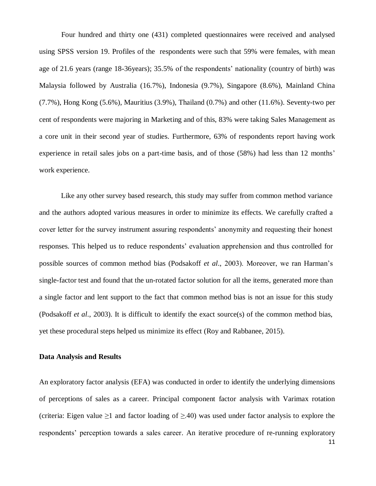Four hundred and thirty one (431) completed questionnaires were received and analysed using SPSS version 19. Profiles of the respondents were such that 59% were females, with mean age of 21.6 years (range 18-36years); 35.5% of the respondents' nationality (country of birth) was Malaysia followed by Australia (16.7%), Indonesia (9.7%), Singapore (8.6%), Mainland China (7.7%), Hong Kong (5.6%), Mauritius (3.9%), Thailand (0.7%) and other (11.6%). Seventy-two per cent of respondents were majoring in Marketing and of this, 83% were taking Sales Management as a core unit in their second year of studies. Furthermore, 63% of respondents report having work experience in retail sales jobs on a part-time basis, and of those (58%) had less than 12 months' work experience.

Like any other survey based research, this study may suffer from common method variance and the authors adopted various measures in order to minimize its effects. We carefully crafted a cover letter for the survey instrument assuring respondents' anonymity and requesting their honest responses. This helped us to reduce respondents' evaluation apprehension and thus controlled for possible sources of common method bias (Podsakoff *et al*., 2003). Moreover, we ran Harman's single-factor test and found that the un-rotated factor solution for all the items, generated more than a single factor and lent support to the fact that common method bias is not an issue for this study (Podsakoff *et al*., 2003). It is difficult to identify the exact source(s) of the common method bias, yet these procedural steps helped us minimize its effect (Roy and Rabbanee, 2015).

#### **Data Analysis and Results**

An exploratory factor analysis (EFA) was conducted in order to identify the underlying dimensions of perceptions of sales as a career. Principal component factor analysis with Varimax rotation (criteria: Eigen value  $\geq 1$  and factor loading of  $\geq 0.40$ ) was used under factor analysis to explore the respondents' perception towards a sales career. An iterative procedure of re-running exploratory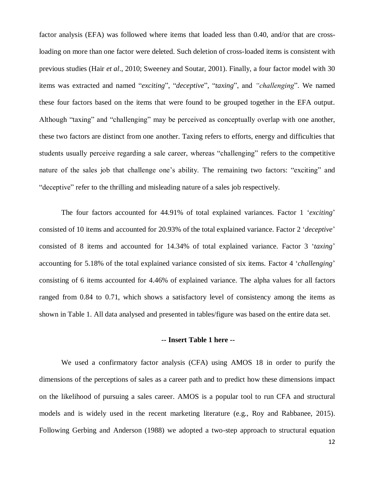factor analysis (EFA) was followed where items that loaded less than 0.40, and/or that are crossloading on more than one factor were deleted. Such deletion of cross-loaded items is consistent with previous studies (Hair *et al*., 2010; Sweeney and Soutar, 2001). Finally, a four factor model with 30 items was extracted and named "*exciting*", "*deceptive*", "*taxing*", and *"challenging*". We named these four factors based on the items that were found to be grouped together in the EFA output. Although "taxing" and "challenging" may be perceived as conceptually overlap with one another, these two factors are distinct from one another. Taxing refers to efforts, energy and difficulties that students usually perceive regarding a sale career, whereas "challenging" refers to the competitive nature of the sales job that challenge one's ability. The remaining two factors: "exciting" and "deceptive" refer to the thrilling and misleading nature of a sales job respectively.

The four factors accounted for 44.91% of total explained variances. Factor 1 '*exciting*' consisted of 10 items and accounted for 20.93% of the total explained variance. Factor 2 '*deceptive*' consisted of 8 items and accounted for 14.34% of total explained variance. Factor 3 '*taxing*' accounting for 5.18% of the total explained variance consisted of six items. Factor 4 '*challenging*' consisting of 6 items accounted for 4.46% of explained variance. The alpha values for all factors ranged from 0.84 to 0.71, which shows a satisfactory level of consistency among the items as shown in Table 1. All data analysed and presented in tables/figure was based on the entire data set.

#### **-- Insert Table 1 here --**

We used a confirmatory factor analysis (CFA) using AMOS 18 in order to purify the dimensions of the perceptions of sales as a career path and to predict how these dimensions impact on the likelihood of pursuing a sales career. AMOS is a popular tool to run CFA and structural models and is widely used in the recent marketing literature (e.g., Roy and Rabbanee, 2015). Following Gerbing and Anderson (1988) we adopted a two-step approach to structural equation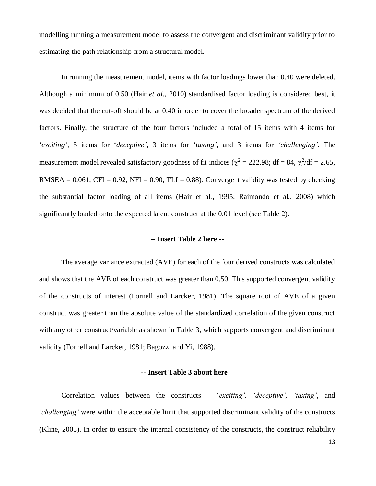modelling running a measurement model to assess the convergent and discriminant validity prior to estimating the path relationship from a structural model.

In running the measurement model, items with factor loadings lower than 0.40 were deleted. Although a minimum of 0.50 (Hair *et al*., 2010) standardised factor loading is considered best, it was decided that the cut-off should be at 0.40 in order to cover the broader spectrum of the derived factors. Finally, the structure of the four factors included a total of 15 items with 4 items for '*exciting'*, 5 items for '*deceptive'*, 3 items for '*taxing'*, and 3 items for *'challenging'.* The measurement model revealed satisfactory goodness of fit indices ( $\chi^2 = 222.98$ ; df = 84,  $\chi^2$ /df = 2.65, RMSEA =  $0.061$ , CFI =  $0.92$ , NFI =  $0.90$ ; TLI =  $0.88$ ). Convergent validity was tested by checking the substantial factor loading of all items (Hair et al., 1995; Raimondo et al., 2008) which significantly loaded onto the expected latent construct at the 0.01 level (see Table 2).

#### **-- Insert Table 2 here --**

The average variance extracted (AVE) for each of the four derived constructs was calculated and shows that the AVE of each construct was greater than 0.50. This supported convergent validity of the constructs of interest (Fornell and Larcker, 1981). The square root of AVE of a given construct was greater than the absolute value of the standardized correlation of the given construct with any other construct/variable as shown in Table 3, which supports convergent and discriminant validity (Fornell and Larcker, 1981; Bagozzi and Yi, 1988).

#### **-- Insert Table 3 about here –**

Correlation values between the constructs – '*exciting', 'deceptive', 'taxing'*, and '*challenging'* were within the acceptable limit that supported discriminant validity of the constructs (Kline, 2005). In order to ensure the internal consistency of the constructs, the construct reliability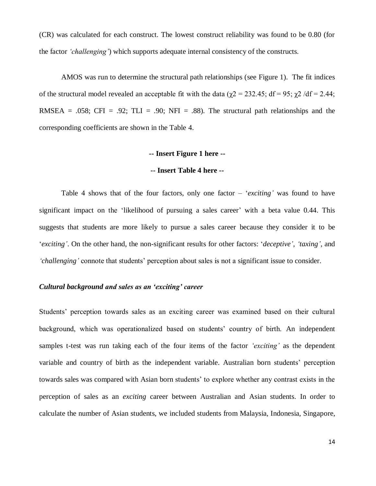(CR) was calculated for each construct. The lowest construct reliability was found to be 0.80 (for the factor *'challenging'*) which supports adequate internal consistency of the constructs.

AMOS was run to determine the structural path relationships (see Figure 1). The fit indices of the structural model revealed an acceptable fit with the data ( $χ2 = 232.45$ ; df = 95;  $χ2$  /df = 2.44; RMSEA = .058; CFI = .92; TLI = .90; NFI = .88). The structural path relationships and the corresponding coefficients are shown in the Table 4.

#### **-- Insert Figure 1 here --**

#### **-- Insert Table 4 here --**

Table 4 shows that of the four factors, only one factor – '*exciting'* was found to have significant impact on the 'likelihood of pursuing a sales career' with a beta value 0.44. This suggests that students are more likely to pursue a sales career because they consider it to be '*exciting'*. On the other hand, the non-significant results for other factors: '*deceptive', 'taxing',* and *'challenging'* connote that students' perception about sales is not a significant issue to consider.

#### *Cultural background and sales as an 'exciting' career*

Students' perception towards sales as an exciting career was examined based on their cultural background, which was operationalized based on students' country of birth. An independent samples t-test was run taking each of the four items of the factor *'exciting'* as the dependent variable and country of birth as the independent variable. Australian born students' perception towards sales was compared with Asian born students' to explore whether any contrast exists in the perception of sales as an *exciting* career between Australian and Asian students. In order to calculate the number of Asian students, we included students from Malaysia, Indonesia, Singapore,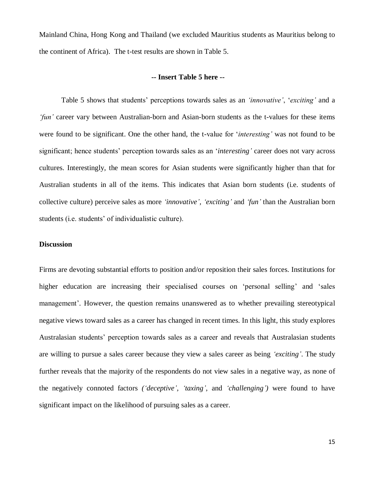Mainland China, Hong Kong and Thailand (we excluded Mauritius students as Mauritius belong to the continent of Africa). The t-test results are shown in Table 5.

#### **-- Insert Table 5 here --**

Table 5 shows that students' perceptions towards sales as an *'innovative'*, '*exciting'* and a *'fun'* career vary between Australian-born and Asian-born students as the t-values for these items were found to be significant. One the other hand, the t-value for '*interesting'* was not found to be significant; hence students' perception towards sales as an '*interesting'* career does not vary across cultures. Interestingly, the mean scores for Asian students were significantly higher than that for Australian students in all of the items. This indicates that Asian born students (i.e. students of collective culture) perceive sales as more *'innovative', 'exciting'* and *'fun'* than the Australian born students (i.e. students' of individualistic culture).

#### **Discussion**

Firms are devoting substantial efforts to position and/or reposition their sales forces. Institutions for higher education are increasing their specialised courses on 'personal selling' and 'sales management'. However, the question remains unanswered as to whether prevailing stereotypical negative views toward sales as a career has changed in recent times. In this light, this study explores Australasian students' perception towards sales as a career and reveals that Australasian students are willing to pursue a sales career because they view a sales career as being *'exciting'*. The study further reveals that the majority of the respondents do not view sales in a negative way, as none of the negatively connoted factors *('deceptive', 'taxing',* and *'challenging')* were found to have significant impact on the likelihood of pursuing sales as a career.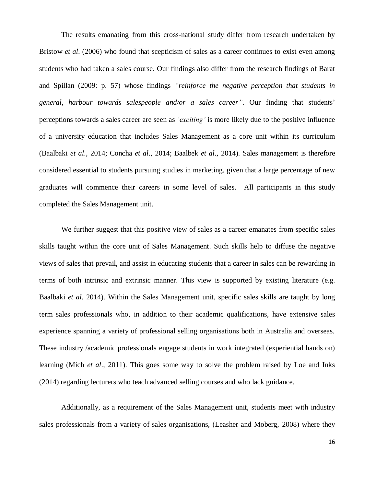The results emanating from this cross-national study differ from research undertaken by Bristow *et al*. (2006) who found that scepticism of sales as a career continues to exist even among students who had taken a sales course. Our findings also differ from the research findings of Barat and Spillan (2009: p. 57) whose findings *"reinforce the negative perception that students in general, harbour towards salespeople and/or a sales career"*. Our finding that students' perceptions towards a sales career are seen as *'exciting'* is more likely due to the positive influence of a university education that includes Sales Management as a core unit within its curriculum (Baalbaki *et al*., 2014; Concha *et al*., 2014; Baalbek *et al*., 2014). Sales management is therefore considered essential to students pursuing studies in marketing, given that a large percentage of new graduates will commence their careers in some level of sales. All participants in this study completed the Sales Management unit.

We further suggest that this positive view of sales as a career emanates from specific sales skills taught within the core unit of Sales Management. Such skills help to diffuse the negative views of sales that prevail, and assist in educating students that a career in sales can be rewarding in terms of both intrinsic and extrinsic manner. This view is supported by existing literature (e.g. Baalbaki *et al*. 2014). Within the Sales Management unit, specific sales skills are taught by long term sales professionals who, in addition to their academic qualifications, have extensive sales experience spanning a variety of professional selling organisations both in Australia and overseas. These industry /academic professionals engage students in work integrated (experiential hands on) learning (Mich *et al*., 2011). This goes some way to solve the problem raised by Loe and Inks (2014) regarding lecturers who teach advanced selling courses and who lack guidance.

Additionally, as a requirement of the Sales Management unit, students meet with industry sales professionals from a variety of sales organisations, (Leasher and Moberg, 2008) where they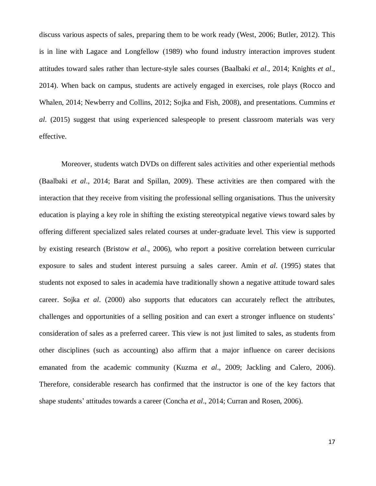discuss various aspects of sales, preparing them to be work ready (West, 2006; Butler, 2012). This is in line with Lagace and Longfellow (1989) who found industry interaction improves student attitudes toward sales rather than lecture-style sales courses (Baalbaki *et al*., 2014; Knights *et al*., 2014). When back on campus, students are actively engaged in exercises, role plays (Rocco and Whalen, 2014; Newberry and Collins, 2012; Sojka and Fish, 2008), and presentations. Cummins *et al*. (2015) suggest that using experienced salespeople to present classroom materials was very effective.

Moreover, students watch DVDs on different sales activities and other experiential methods (Baalbaki *et al*., 2014; Barat and Spillan, 2009). These activities are then compared with the interaction that they receive from visiting the professional selling organisations. Thus the university education is playing a key role in shifting the existing stereotypical negative views toward sales by offering different specialized sales related courses at under-graduate level. This view is supported by existing research (Bristow *et al*., 2006), who report a positive correlation between curricular exposure to sales and student interest pursuing a sales career. Amin *et al*. (1995) states that students not exposed to sales in academia have traditionally shown a negative attitude toward sales career. Sojka *et al*. (2000) also supports that educators can accurately reflect the attributes, challenges and opportunities of a selling position and can exert a stronger influence on students' consideration of sales as a preferred career. This view is not just limited to sales, as students from other disciplines (such as accounting) also affirm that a major influence on career decisions emanated from the academic community (Kuzma *et al*., 2009; Jackling and Calero, 2006). Therefore, considerable research has confirmed that the instructor is one of the key factors that shape students' attitudes towards a career (Concha *et al*., 2014; Curran and Rosen, 2006).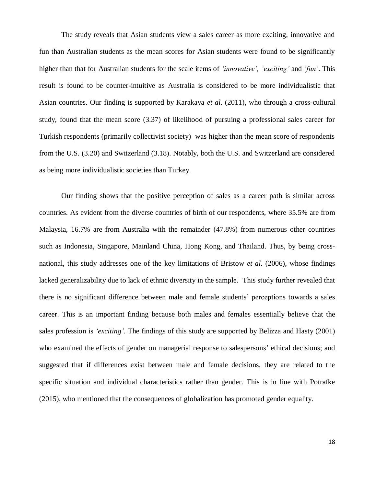The study reveals that Asian students view a sales career as more exciting, innovative and fun than Australian students as the mean scores for Asian students were found to be significantly higher than that for Australian students for the scale items of *'innovative', 'exciting'* and *'fun'*. This result is found to be counter-intuitive as Australia is considered to be more individualistic that Asian countries. Our finding is supported by Karakaya *et al*. (2011), who through a cross-cultural study, found that the mean score (3.37) of likelihood of pursuing a professional sales career for Turkish respondents (primarily collectivist society) was higher than the mean score of respondents from the U.S. (3.20) and Switzerland (3.18). Notably, both the U.S. and Switzerland are considered as being more individualistic societies than Turkey.

Our finding shows that the positive perception of sales as a career path is similar across countries. As evident from the diverse countries of birth of our respondents, where 35.5% are from Malaysia, 16.7% are from Australia with the remainder (47.8%) from numerous other countries such as Indonesia, Singapore, Mainland China, Hong Kong, and Thailand. Thus, by being crossnational, this study addresses one of the key limitations of Bristow *et al*. (2006), whose findings lacked generalizability due to lack of ethnic diversity in the sample. This study further revealed that there is no significant difference between male and female students' perceptions towards a sales career. This is an important finding because both males and females essentially believe that the sales profession is *'exciting'*. The findings of this study are supported by Belizza and Hasty (2001) who examined the effects of gender on managerial response to salespersons' ethical decisions; and suggested that if differences exist between male and female decisions, they are related to the specific situation and individual characteristics rather than gender. This is in line with Potrafke (2015), who mentioned that the consequences of globalization has promoted gender equality.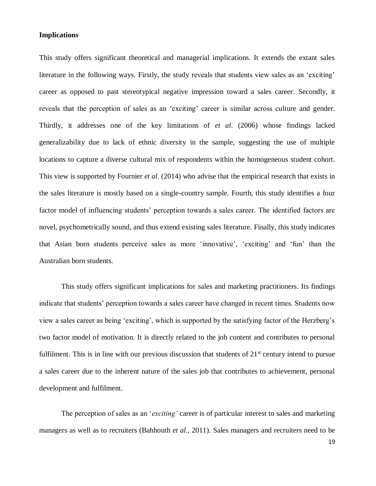#### **Implications**

This study offers significant theoretical and managerial implications. It extends the extant sales literature in the following ways. Firstly, the study reveals that students view sales as an 'exciting' career as opposed to past stereotypical negative impression toward a sales career. Secondly, it reveals that the perception of sales as an 'exciting' career is similar across culture and gender. Thirdly, it addresses one of the key limitations of *et al*. (2006) whose findings lacked generalizability due to lack of ethnic diversity in the sample, suggesting the use of multiple locations to capture a diverse cultural mix of respondents within the homogeneous student cohort. This view is supported by Fournier *et al*. (2014) who advise that the empirical research that exists in the sales literature is mostly based on a single-country sample. Fourth, this study identifies a four factor model of influencing students' perception towards a sales career. The identified factors are novel, psychometrically sound, and thus extend existing sales literature. Finally, this study indicates that Asian born students perceive sales as more 'innovative', 'exciting' and 'fun' than the Australian born students.

This study offers significant implications for sales and marketing practitioners. Its findings indicate that students' perception towards a sales career have changed in recent times. Students now view a sales career as being 'exciting', which is supported by the satisfying factor of the Herzberg's two factor model of motivation. It is directly related to the job content and contributes to personal fulfilment. This is in line with our previous discussion that students of  $21<sup>st</sup>$  century intend to pursue a sales career due to the inherent nature of the sales job that contributes to achievement, personal development and fulfilment.

The perception of sales as an '*exciting'* career is of particular interest to sales and marketing managers as well as to recruiters (Bahhouth *et al*., 2011). Sales managers and recruiters need to be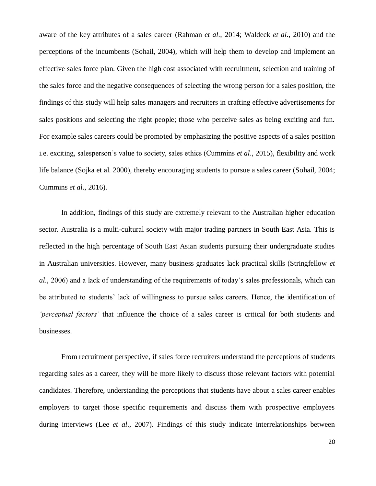aware of the key attributes of a sales career (Rahman *et al*., 2014; Waldeck *et al*., 2010) and the perceptions of the incumbents (Sohail, 2004), which will help them to develop and implement an effective sales force plan. Given the high cost associated with recruitment, selection and training of the sales force and the negative consequences of selecting the wrong person for a sales position, the findings of this study will help sales managers and recruiters in crafting effective advertisements for sales positions and selecting the right people; those who perceive sales as being exciting and fun. For example sales careers could be promoted by emphasizing the positive aspects of a sales position i.e. exciting, salesperson's value to society, sales ethics (Cummins *et al*., 2015), flexibility and work life balance (Sojka et al. 2000), thereby encouraging students to pursue a sales career (Sohail, 2004; Cummins *et al*., 2016).

In addition, findings of this study are extremely relevant to the Australian higher education sector. Australia is a multi-cultural society with major trading partners in South East Asia. This is reflected in the high percentage of South East Asian students pursuing their undergraduate studies in Australian universities. However, many business graduates lack practical skills (Stringfellow *et al*., 2006) and a lack of understanding of the requirements of today's sales professionals, which can be attributed to students' lack of willingness to pursue sales careers. Hence, the identification of *'perceptual factors'* that influence the choice of a sales career is critical for both students and businesses.

From recruitment perspective, if sales force recruiters understand the perceptions of students regarding sales as a career, they will be more likely to discuss those relevant factors with potential candidates. Therefore, understanding the perceptions that students have about a sales career enables employers to target those specific requirements and discuss them with prospective employees during interviews (Lee *et al*., 2007). Findings of this study indicate interrelationships between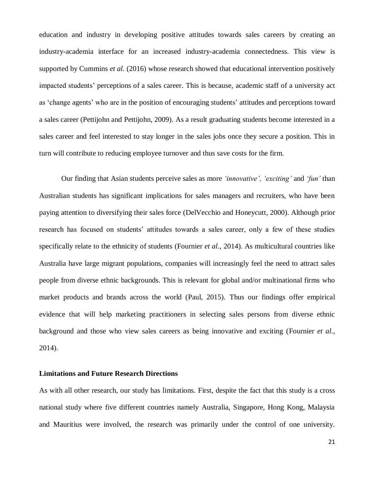education and industry in developing positive attitudes towards sales careers by creating an industry-academia interface for an increased industry-academia connectedness. This view is supported by Cummins *et al*. (2016) whose research showed that educational intervention positively impacted students' perceptions of a sales career. This is because, academic staff of a university act as 'change agents' who are in the position of encouraging students' attitudes and perceptions toward a sales career (Pettijohn and Pettijohn, 2009). As a result graduating students become interested in a sales career and feel interested to stay longer in the sales jobs once they secure a position. This in turn will contribute to reducing employee turnover and thus save costs for the firm*.*

Our finding that Asian students perceive sales as more *'innovative', 'exciting'* and *'fun'* than Australian students has significant implications for sales managers and recruiters, who have been paying attention to diversifying their sales force (DelVecchio and Honeycutt, 2000). Although prior research has focused on students' attitudes towards a sales career, only a few of these studies specifically relate to the ethnicity of students (Fournier *et al*., 2014). As multicultural countries like Australia have large migrant populations, companies will increasingly feel the need to attract sales people from diverse ethnic backgrounds. This is relevant for global and/or multinational firms who market products and brands across the world (Paul, 2015). Thus our findings offer empirical evidence that will help marketing practitioners in selecting sales persons from diverse ethnic background and those who view sales careers as being innovative and exciting (Fournier *et al*., 2014).

#### **Limitations and Future Research Directions**

As with all other research, our study has limitations. First, despite the fact that this study is a cross national study where five different countries namely Australia, Singapore, Hong Kong, Malaysia and Mauritius were involved, the research was primarily under the control of one university.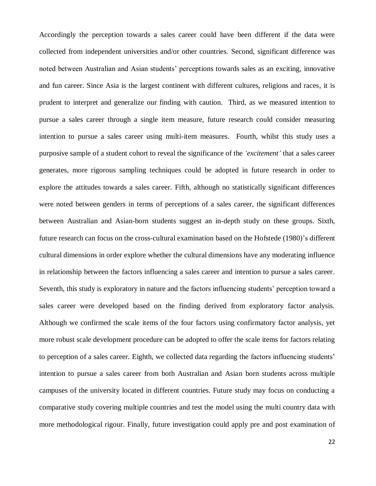Accordingly the perception towards a sales career could have been different if the data were collected from independent universities and/or other countries. Second, significant difference was noted between Australian and Asian students' perceptions towards sales as an exciting, innovative and fun career. Since Asia is the largest continent with different cultures, religions and races, it is prudent to interpret and generalize our finding with caution. Third, as we measured intention to pursue a sales career through a single item measure, future research could consider measuring intention to pursue a sales career using multi-item measures. Fourth, whilst this study uses a purposive sample of a student cohort to reveal the significance of the *'excitement'* that a sales career generates, more rigorous sampling techniques could be adopted in future research in order to explore the attitudes towards a sales career. Fifth, although no statistically significant differences were noted between genders in terms of perceptions of a sales career, the significant differences between Australian and Asian-born students suggest an in-depth study on these groups. Sixth, future research can focus on the cross-cultural examination based on the Hofstede (1980)'s different cultural dimensions in order explore whether the cultural dimensions have any moderating influence in relationship between the factors influencing a sales career and intention to pursue a sales career. Seventh, this study is exploratory in nature and the factors influencing students' perception toward a sales career were developed based on the finding derived from exploratory factor analysis. Although we confirmed the scale items of the four factors using confirmatory factor analysis, yet more robust scale development procedure can be adopted to offer the scale items for factors relating to perception of a sales career. Eighth, we collected data regarding the factors influencing students' intention to pursue a sales career from both Australian and Asian born students across multiple campuses of the university located in different countries. Future study may focus on conducting a comparative study covering multiple countries and test the model using the multi country data with more methodological rigour. Finally, future investigation could apply pre and post examination of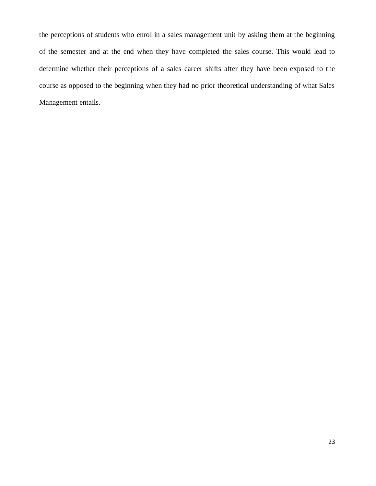the perceptions of students who enrol in a sales management unit by asking them at the beginning of the semester and at the end when they have completed the sales course. This would lead to determine whether their perceptions of a sales career shifts after they have been exposed to the course as opposed to the beginning when they had no prior theoretical understanding of what Sales Management entails.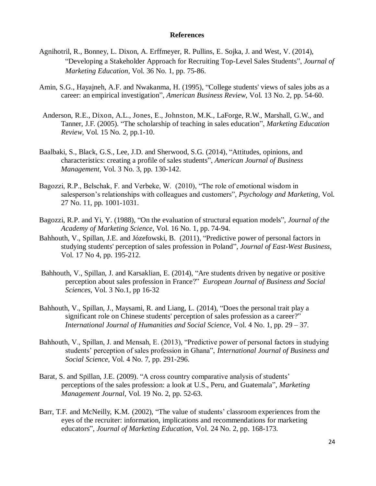#### **References**

- Agnihotril, R., Bonney, L. Dixon, A. Erffmeyer, R. Pullins, E. Sojka, J. and West, V. (2014), "Developing a Stakeholder Approach for Recruiting Top-Level Sales Students", *Journal of Marketing Education,* Vol. 36 No. 1, pp. 75-86.
- Amin, S.G., Hayajneh, A.F. and Nwakanma, H. (1995), "College students' views of sales jobs as a career: an empirical investigation", *American Business Review*, Vol. 13 No. 2, pp. 54-60.
- Anderson, R.E., Dixon, A.L., Jones, E., Johnston, M.K., LaForge, R.W., Marshall, G.W., and Tanner, J.F. (2005). "The scholarship of teaching in sales education", *Marketing Education Review*, Vol. 15 No*.* 2, pp.1-10.
- Baalbaki, S., Black, G.S., Lee, J.D. and Sherwood, S.G. (2014), ["Attitudes, opinions, and](http://wscholars.com/index.php/ajbm/article/view/548)  [characteristics: creating a profile of sales students"](http://wscholars.com/index.php/ajbm/article/view/548), *American Journal of Business Management,* Vol. 3 No. 3, pp. 130-142.
- Bagozzi, R.P., Belschak, F. and Verbeke, W. (2010), "The role of emotional wisdom in salesperson's relationships with colleagues and customers", *Psychology and Marketing*, Vol. 27 No. 11, pp. 1001-1031.
- Bagozzi, R.P. and Yi, Y. (1988), "On the evaluation of structural equation models", *Journal of the Academy of Marketing Science*, Vol. 16 No*.* 1, pp. 74-94.
- Bahhouth, V., Spillan, J.E. and Józefowski, B. (2011), ["Predictive power of personal factors in](http://www.tandfonline.com/doi/abs/10.1080/10669868.2011.626988)  [studying students' perception of sales profession in Poland"](http://www.tandfonline.com/doi/abs/10.1080/10669868.2011.626988), *Journal of East-West Business,* Vol. 17 No 4, pp. 195-212.
- Bahhouth, V., Spillan, J. and Karsaklian, E. (2014), ["Are students driven by negative or positive](http://libres.uncg.edu/ir/uncp/f/Are%20Students%20Driven%20by%20Negative%20or%20Positive%20Perception%20about%20Sales%20Profession%20in%20France.pdf)  [perception about sales profession in France?"](http://libres.uncg.edu/ir/uncp/f/Are%20Students%20Driven%20by%20Negative%20or%20Positive%20Perception%20about%20Sales%20Profession%20in%20France.pdf) *European Journal of Business and Social Sciences,* Vol. 3 No.1, pp 16-32
- Bahhouth, V., Spillan, J., Maysami, R. and Liang, L. (2014), ["Does the personal trait play a](http://libres.uncg.edu/ir/uncp/f/Does%20the%20Personal%20Trait%20Play%20a%20Significant%20Role%20on%20Chinese%20Students%E2%80%99%20Perception.pdf)  [significant role on Chinese students' perception of sales profession as a career?"](http://libres.uncg.edu/ir/uncp/f/Does%20the%20Personal%20Trait%20Play%20a%20Significant%20Role%20on%20Chinese%20Students%E2%80%99%20Perception.pdf) *International Journal of Humanities and Social Science,* Vol. 4 No. 1, pp. 29 – 37.
- Bahhouth, V., Spillan, J. and Mensah, E. (2013), "Predictive power of personal factors in studying students' perception of sales profession in Ghana", *International Journal of Business and Social Science,* Vol. 4 No. 7, pp. 291-296.
- Barat, S. and Spillan, J.E. (2009). "A cross country comparative analysis of students' perceptions of the sales profession: a look at U.S., Peru, and Guatemala", *Marketing Management Journal*, Vol. 19 No. 2, pp. 52-63.
- Barr, T.F. and McNeilly, K.M. (2002), "The value of students' classroom experiences from the eyes of the recruiter: information, implications and recommendations for marketing educators", *Journal of Marketing Education,* Vol. 24 No. 2, pp. 168-173.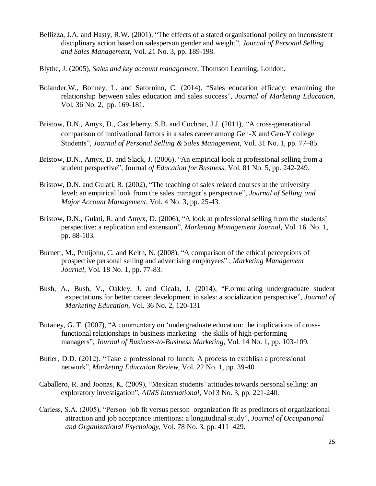- Bellizza, J.A. and Hasty, R.W. (2001), "The effects of a stated organisational policy on inconsistent disciplinary action based on salesperson gender and weight", *Journal of Personal Selling and Sales Management,* Vol. 21 No. 3, pp. 189-198.
- Blythe, J. (2005), *Sales and key account management*, Thomson Learning, London.
- Bolander,W., Bonney, L. and Satornino, C. (2014), "Sales education efficacy: examining the relationship between sales education and sales success", *Journal of Marketing Education,* Vol. 36 No. 2, pp. 169-181.
- Bristow, D.N., Amyx, D., Castleberry, S.B. and Cochran, J.J. (2011), *"*A cross-generational comparison of motivational factors in a sales career among Gen-X and Gen-Y college Students", *Journal of Personal Selling & Sales Management,* Vol. 31 No. 1, pp. 77–85.
- Bristow, D.N., Amyx, D. and Slack, J. (2006), "An empirical look at professional selling from a student perspective", Journal *of Education for Business*, Vol. 81 No. 5, pp. 242-249.
- Bristow, D.N. and Gulati, R. (2002), "The teaching of sales related courses at the university level: an empirical look from the sales manager's perspective", *Journal of Selling and Major Account Management*, Vol. 4 No. 3, pp. 25-43.
- Bristow, D.N., Gulati, R. and Amyx, D. (2006), "A look at professional selling from the students' perspective: a replication and extension", *Marketing Management Journal,* Vol. 16 No. 1, pp. 88-103.
- Burnett, M., Pettijohn, C. and Keith, N. (2008), "A comparison of the ethical perceptions of prospective personal selling and advertising employees" , *Marketing Management Journal*, Vol. 18 No. 1, pp. 77-83.
- Bush, A., Bush, V., Oakley, J. and Cicala, J. (2014), "F.ormulating undergraduate student expectations for better career development in sales: a socialization perspective", *Journal of Marketing Education*, Vol. 36 No. 2, 120-131
- Butaney, G. T. (2007), "A commentary on 'undergraduate education: the implications of crossfunctional relationships in business marketing –the skills of high-performing managers", *Journal of Business-to-Business Marketing*, Vol. 14 No. 1, pp. 103-109.
- Butler, D.D. (2012). "Take a professional to lunch: A process to establish a professional network", *Marketing Education Review*, Vol. 22 No. 1, pp. 39-40.
- Caballero, R. and Joonas, K. (2009), "Mexican students' attitudes towards personal selling: an exploratory investigation", *AIMS International,* Vol 3 No. 3, pp. 221-240.
- Carless, S.A. (2005), "Person–job fit versus person–organization fit as predictors of organizational attraction and job acceptance intentions: a longitudinal study", *Journal of Occupational and Organizational Psychology,* Vol. 78 No. 3, pp. 411–429.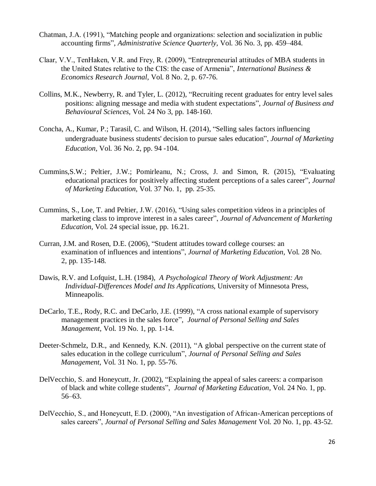- Chatman, J.A. (1991), "Matching people and organizations: selection and socialization in public accounting firms", *Administrative Science Quarterly,* Vol. 36 No. 3, pp. 459–484.
- Claar, V.V., TenHaken, V.R. and Frey, R. (2009), "Entrepreneurial attitudes of MBA students in the United States relative to the CIS: the case of Armenia", *International Business & Economics Research Journal,* Vol. 8 No. 2, p. 67-76.
- Collins, M.K., Newberry, R. and Tyler, L. (2012), ["Recruiting recent graduates for entry level sales](http://asbbs.org/files/2011/JBBS_24.3_Fall_2012.pdf#page=149)  [positions: aligning message and media with student expectations"](http://asbbs.org/files/2011/JBBS_24.3_Fall_2012.pdf#page=149), *Journal of Business and Behavioural Sciences,* Vol. 24 No 3, pp. 148-160.
- Concha, A., Kumar, P.; Tarasil, C. and Wilson, H. (2014), ["Selling sales factors influencing](http://jmd.sagepub.com/content/36/2/94.short)  [undergraduate business students' decision to pursue sales education"](http://jmd.sagepub.com/content/36/2/94.short), *Journal of Marketing Education,* Vol. 36 No. 2, pp. 94 -104.
- Cummins,S.W.; Peltier, J.W.; Pomirleanu, N.; Cross, J. and Simon, R. (2015), "Evaluating educational practices for positively affecting student perceptions of a sales career", *Journal of Marketing Education,* Vol. 37 No. 1, pp. 25-35.
- Cummins, S., Loe, T. and Peltier, J.W. (2016), "Using sales competition videos in a principles of marketing class to improve interest in a sales career", *Journal of Advancement of Marketing Education*, Vol. 24 special issue, pp. 16.21.
- Curran, J.M. and Rosen, D.E. (2006), "Student attitudes toward college courses: an examination of influences and intentions", *Journal of Marketing Education*, Vol. 28 No. 2, pp. 135-148.
- Dawis, R.V. and Lofquist, L.H. (1984), *A Psychological Theory of Work Adjustment: An Individual-Differences Model and Its Applications,* University of Minnesota Press, Minneapolis.
- DeCarlo, T.E., Rody, R.C. and DeCarlo, J.E. (1999), "A cross national example of supervisory management practices in the sales force", *Journal of Personal Selling and Sales Management*, Vol. 19 No. 1, pp. 1-14.
- Deeter-Schmelz, D.R., and Kennedy, K.N. (2011), "A global perspective on the current state of sales education in the college curriculum", *Journal of Personal Selling and Sales Management*, Vol. 31 No. 1, pp. 55-76.
- DelVecchio, S. and Honeycutt, Jr. (2002), "Explaining the appeal of sales careers: a comparison of black and white college students", *Journal of Marketing Education*, Vol. 24 No. 1, pp. 56–63.
- DelVecchio, S., and Honeycutt, E.D. (2000), "An investigation of African-American perceptions of sales careers", *Journal of Personal Selling and Sales Management* Vol. 20 No. 1, pp. 43-52.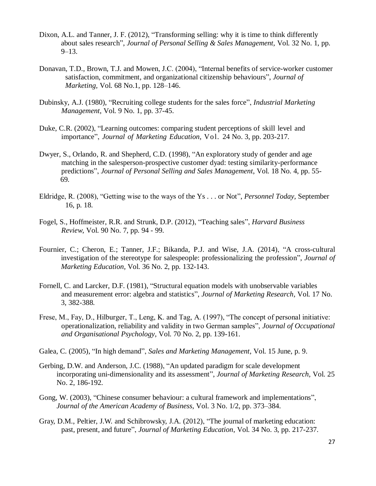- Dixon, A.L. and Tanner, J. F. (2012), "Transforming selling: why it is time to think differently about sales research", *Journal of Personal Selling & Sales Management,* Vol. 32 No. 1, pp.  $9 - 13$ .
- Donavan, T.D., Brown, T.J. and Mowen, J.C. (2004), "Internal benefits of service-worker customer satisfaction, commitment, and organizational citizenship behaviours", *Journal of Marketing,* Vol. 68 No.1, pp. 128–146.
- Dubinsky, A.J. (1980), "Recruiting college students for the sales force", *Industrial Marketing Management*, Vol. 9 No. 1, pp. 37-45.
- Duke, C.R. (2002), "Learning outcomes: comparing student perceptions of skill level and importance", *Journal of Marketing Education*, Vol. 24 No. 3, pp. 203-217.
- Dwyer, S., Orlando, R. and Shepherd, C.D. (1998), "An exploratory study of gender and age matching in the salesperson-prospective customer dyad: testing similarity-performance predictions", *Journal of Personal Selling and Sales Management*, Vol. 18 No. 4, pp. 55- 69.
- Eldridge, R. (2008), "Getting wise to the ways of the Ys . . . or Not", *Personnel Today,* September 16, p. 18.
- Fogel, S., Hoffmeister, R.R. and Strunk, D.P. (2012), "Teaching sales", *Harvard Business Review*, Vol. 90 No. 7, pp. 94 - 99.
- Fournier, C.; Cheron, E.; Tanner, J.F.; Bikanda, P.J. and Wise, J.A. (2014), "A cross-cultural investigation of the stereotype for salespeople: professionalizing the profession", *Journal of Marketing Education,* Vol. 36 No. 2, pp. 132-143.
- Fornell, C. and Larcker, D.F. (1981), "Structural equation models with unobservable variables and measurement error: algebra and statistics", *Journal of Marketing Research,* Vol. 17 No. 3, 382-388.
- Frese, M., Fay, D., Hilburger, T., Leng, K. and Tag, A. (1997), "The concept of personal initiative: operationalization, reliability and validity in two German samples", *Journal of Occupational and Organisational Psychology*, Vol. 70 No. 2, pp. 139-161.
- Galea, C. (2005), "In high demand", *Sales and Marketing Management*, Vol. 15 June, p. 9.
- Gerbing, D.W. and Anderson, J.C. (1988), "An updated paradigm for scale development incorporating uni-dimensionality and its assessment", *Journal of Marketing Research,* Vol. 25 No. 2, 186-192.
- Gong, W. (2003), "Chinese consumer behaviour: a cultural framework and implementations", *Journal of the American Academy of Business*, Vol. 3 No. 1/2, pp. 373–384.
- Gray, D.M., Peltier, J.W. and Schibrowsky, J.A. (2012), "The journal of marketing education: past, present, and future", *Journal of Marketing Education*, Vol. 34 No. 3, pp. 217-237.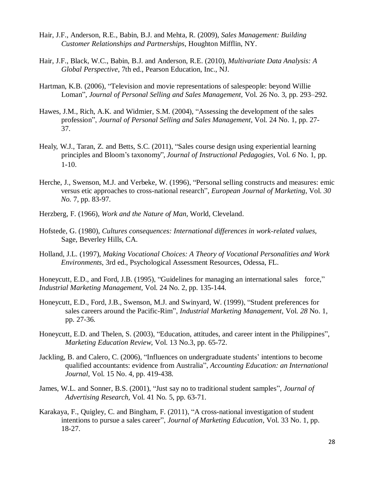- Hair, J.F., Anderson, R.E., Babin, B.J. and Mehta, R. (2009), *Sales Management: Building Customer Relationships and Partnerships*, Houghton Mifflin, NY.
- Hair, J.F., Black, W.C., Babin, B.J. and Anderson, R.E. (2010), *Multivariate Data Analysis: A Global Perspective*, 7th ed., Pearson Education, Inc., NJ.
- Hartman, K.B. (2006), "Television and movie representations of salespeople: beyond Willie Loman", *Journal of Personal Selling and Sales Management,* Vol. 26 No. 3, pp. 293–292.
- Hawes, J.M., Rich, A.K. and Widmier, S.M. (2004), "Assessing the development of the sales profession", *Journal of Personal Selling and Sales Management*, Vol. 24 No. 1, pp. 27- 37.
- Healy, W.J., Taran, Z. and Betts, S.C. (2011), "Sales course design using experiential learning principles and Bloom's taxonomy", *Journal of Instructional Pedagogies*, Vol. *6* No. 1, pp. 1-10.
- Herche, J., Swenson, M.J. and Verbeke, W. (1996), "Personal selling constructs and measures: emic versus etic approaches to cross-national research", *European Journal of Marketing*, Vol. *30 No.* 7, pp. 83-97.
- Herzberg, F. (1966), *Work and the Nature of Man,* World, Cleveland.
- Hofstede, G. (1980), *Cultures consequences: International differences in work-related values,* Sage, Beverley Hills, CA.
- Holland, J.L. (1997), *Making Vocational Choices: A Theory of Vocational Personalities and Work Environments,* 3rd ed., Psychological Assessment Resources, Odessa, FL.

Honeycutt, E.D., and Ford, J.B. (1995), "Guidelines for managing an international sales force," *Industrial Marketing Management,* Vol. 24 No*.* 2, pp. 135-144.

- Honeycutt, E.D., Ford, J.B., Swenson, M.J. and Swinyard, W. (1999), "Student preferences for sales careers around the Pacific-Rim", *Industrial Marketing Management*, Vol. *28* No. 1, pp. 27-36.
- Honeycutt, E.D. and Thelen, S. (2003), "Education, attitudes, and career intent in the Philippines", *Marketing Education Review*, Vol. 13 No.3, pp. 65-72.
- Jackling, B. and Calero, C. (2006), "Influences on undergraduate students' intentions to become qualified accountants: evidence from Australia", *Accounting Education: an International Journal*, Vol. 15 No. 4, pp. 419-438.
- James, W.L. and Sonner, B.S. (2001), "Just say no to traditional student samples", *Journal of Advertising Research,* Vol. 41 No*.* 5, pp. 63-71.
- Karakaya, F., Quigley, C. and Bingham, F. (2011), "A cross-national investigation of student intentions to pursue a sales career", *Journal of Marketing Education,* Vol. 33 No. 1, pp. 18-27.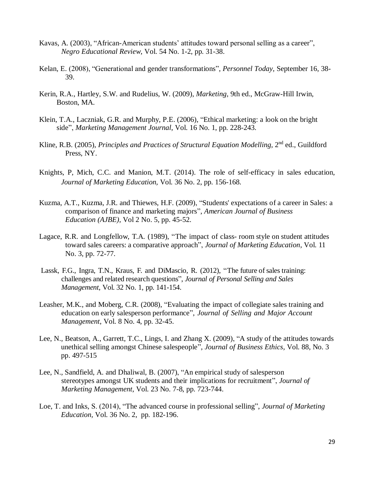- Kavas, A. (2003), "African-American students' attitudes toward personal selling as a career", *Negro Educational Review*, Vol. 54 No*.* 1-2, pp. 31-38.
- Kelan, E. (2008), "Generational and gender transformations", *Personnel Today,* September 16, 38- 39.
- Kerin, R.A., Hartley, S.W. and Rudelius, W. (2009), *Marketing,* 9th ed., McGraw-Hill Irwin, Boston, MA.
- Klein, T.A., Laczniak, G.R. and Murphy, P.E. (2006), "Ethical marketing: a look on the bright side", *Marketing Management Journal*, Vol. 16 No. 1, pp. 228-243.
- Kline, R.B. (2005), *Principles and Practices of Structural Equation Modelling*, 2<sup>nd</sup> ed., Guildford Press, NY.
- Knights, P, Mich, C.C. and Manion, M.T. (2014). The role of self-efficacy in sales education, *Journal of Marketing Education,* Vol. 36 No. 2, pp. 156-168.
- Kuzma, A.T., Kuzma, J.R. and Thiewes, H.F. (2009), ["Students' expectations of a](http://www.cluteinstitute.com/ojs/index.php/AJBE/article/view/4069) career in Sales: a [comparison of finance and marketing majors"](http://www.cluteinstitute.com/ojs/index.php/AJBE/article/view/4069), *American Journal of Business Education (AJBE),* Vol 2 No. 5, pp. 45-52.
- Lagace, R.R. and Longfellow, T.A. (1989), "The impact of class- room style on student attitudes toward sales careers: a comparative approach", *Journal of Marketing Education*, Vol. 11 No. 3, pp. 72-77.
- Lassk, F.G., Ingra, T.N., Kraus, F. and DiMascio, R. (2012), "The future of sales training: challenges and related research questions", *Journal of Personal Selling and Sales Management*, Vol. 32 No. 1, pp. 141-154.
- Leasher, M.K., and Moberg, C.R. (2008), "Evaluating the impact of collegiate sales training and education on early salesperson performance", *Journal of Selling and Major Account Management*, Vol. 8 No. 4, pp. 32-45.
- Lee, N., Beatson, A., Garrett, T.C., Lings, I. and Zhang X. (2009), ["A study of the attitudes towards](http://link.springer.com/article/10.1007/s10551-009-0302-y)  [unethical selling amongst Chinese salespeople"](http://link.springer.com/article/10.1007/s10551-009-0302-y), *Journal of Business Ethics,* Vol. 88, No. 3 pp. 497-515
- Lee, N., Sandfield, A. and Dhaliwal, B. (2007), "An empirical study of salesperson stereotypes amongst UK students and their implications for recruitment", *Journal of Marketing Management*, Vol. 23 No*.* 7-8, pp. 723-744.
- Loe, T. and Inks, S. (2014), "The advanced course in professional selling", *Journal of Marketing Education,* Vol. 36 No. 2, pp. 182-196.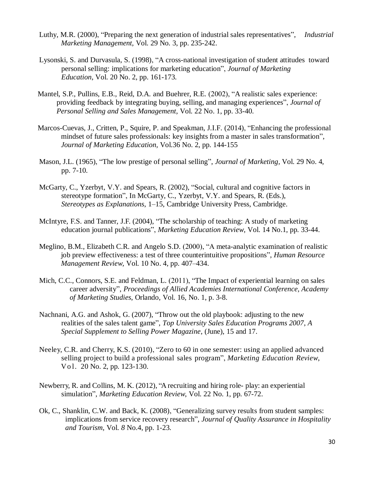- Luthy, M.R. (2000), "Preparing the next generation of industrial sales representatives", *Industrial Marketing Management,* Vol. 29 No*.* 3, pp. 235-242.
- Lysonski, S. and Durvasula, S. (1998), "A cross-national investigation of student attitudes toward personal selling: implications for marketing education", *Journal of Marketing Education*, Vol. 20 No. 2, pp. 161-173.
- Mantel, S.P., Pullins, E.B., Reid, D.A. and Buehrer, R.E. (2002), "A realistic sales experience: providing feedback by integrating buying, selling, and managing experiences", *Journal of Personal Selling and Sales Management*, Vol. 22 No. 1, pp. 33-40.
- Marcos-Cuevas, J., Critten, P., Squire, P. and Speakman, J.I.F. (2014), "Enhancing the professional mindset of future sales professionals: key insights from a master in sales transformation", *Journal of Marketing Education,* Vol.36 No. 2, pp. 144-155
- Mason, J.L. (1965), "The low prestige of personal selling", *Journal of Marketing,* Vol. 29 No. 4, pp. 7-10.
- McGarty, C., Yzerbyt, V.Y. and Spears, R. (2002), "Social, cultural and cognitive factors in stereotype formation", In McGarty, C., Yzerbyt, V.Y. and Spears, R. (Eds.), *Stereotypes as Explanations*, 1–15, Cambridge University Press, Cambridge.
- McIntyre, F.S. and Tanner, J.F. (2004), "The scholarship of teaching: A study of marketing education journal publications", *Marketing Education Review*, Vol. 14 No.1, pp. 33-44.
- Meglino, B.M., Elizabeth C.R. and Angelo S.D. (2000), "A meta-analytic examination of realistic job preview effectiveness: a test of three counterintuitive propositions", *Human Resource Management Review,* Vol. 10 No. 4, pp. 407–434.
- Mich, C.C., Connors, S.E. and Feldman, L. (2011), ["The Impact of experiential learning on](http://search.proquest.com/openview/c6454970ecbf1ced0c4aa837fc0f4998/1?pq-origsite=gscholar) sales [career adversity"](http://search.proquest.com/openview/c6454970ecbf1ced0c4aa837fc0f4998/1?pq-origsite=gscholar), *Proceedings of Allied Academies International Conference, Academy of Marketing Studies*, Orlando, Vol. 16, No. 1, p. 3-8.
- Nachnani, A.G. and Ashok, G. (2007), "Throw out the old playbook: adjusting to the new realities of the sales talent game", *Top University Sales Education Programs 2007*, *A Special Supplement to Selling Power Magazine*, (June), 15 and 17.
- Neeley, C.R. and Cherry, K.S. (2010), "Zero to 60 in one semester: using an applied advanced selling project to build a professional sales program", *Marketing Education Review*, Vo l. 20 No. 2, pp. 123-130.
- Newberry, R. and Collins, M. K. (2012), "A recruiting and hiring role- play: an experiential simulation", *Marketing Education Review*, Vol. 22 No. 1, pp. 67-72.
- Ok, C., Shanklin, C.W. and Back, K. (2008), "Generalizing survey results from student samples: implications from service recovery research", *Journal of Quality Assurance in Hospitality and Tourism*, Vol. *8* No.4, pp. 1-23.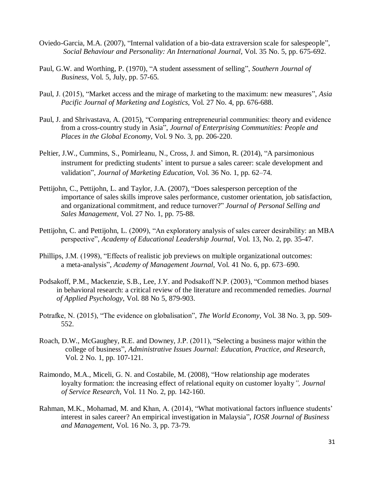- Oviedo-Garcia, M.A. (2007), "Internal validation of a bio-data extraversion scale for salespeople", *Social Behaviour and Personality: An International Journal*, Vol. 35 No. 5, pp. 675-692.
- Paul, G.W. and Worthing, P. (1970), "A student assessment of selling", *Southern Journal of Business*, Vol. 5, July, pp. 57-65.
- Paul, J. (2015), "Market access and the mirage of marketing to the maximum: new measures", *Asia Pacific Journal of Marketing and Logistics,* Vol. 27 No. 4, pp. 676-688.
- Paul, J. and Shrivastava, A. (2015), "Comparing entrepreneurial communities: theory and evidence from a cross-country study in Asia", *Journal of Enterprising Communities: People and Places in the Global Economy*, Vol. 9 No. 3, pp. 206-220.
- Peltier, J.W., Cummins, S., Pomirleanu, N., Cross, J. and Simon, R. (2014), "A parsimonious instrument for predicting students' intent to pursue a sales career: scale development and validation", *Journal of Marketing Education*, Vol. 36 No. 1, pp. 62–74.
- Pettijohn, C., Pettijohn, L. and Taylor, J.A. (2007), "Does salesperson perception of the importance of sales skills improve sales performance, customer orientation, job satisfaction, and organizational commitment, and reduce turnover?" *Journal of Personal Selling and Sales Management*, Vol. 27 No. 1, pp. 75-88.
- Pettijohn, C. and Pettijohn, L. (2009), "An exploratory analysis of sales career desirability: an MBA perspective", *Academy of Educational Leadership Journal*, Vol. 13, No. 2, pp. 35-47.
- Phillips, J.M. (1998), "Effects of realistic job previews on multiple organizational outcomes: a meta-analysis", *Academy of Management Journal,* Vol. 41 No. 6, pp. 673–690.
- Podsakoff, P.M., Mackenzie, S.B., Lee, J.Y. and Podsakoff N.P. (2003), "Common method biases in behavioral research: a critical review of the literature and recommended remedies. *Journal of Applied Psychology*, Vol. 88 No 5, 879-903.
- Potrafke, N. (2015), "The evidence on globalisation", *The World Economy*, Vol. 38 No. 3, pp. 509- 552.
- Roach, D.W., McGaughey, R.E. and Downey, J.P. (2011), "Selecting a business major within the college of business", *Administrative Issues Journal: Education, Practice, and Research*, Vol. 2 No. 1, pp. 107-121.
- Raimondo, M.A., Miceli, G. N. and Costabile, M. (2008), "How relationship age moderates loyalty formation: the increasing effect of relational equity on customer loyalty*", Journal of Service Research,* Vol. 11 No. 2, pp. 142-160.
- Rahman, M.K., Mohamad, M. and Khan, A. (2014), "What motivational factors influence students' interest in sales career? An empirical investigation in Malaysia", *IOSR Journal of Business and Management,* Vol. 16 No. 3, pp. 73-79.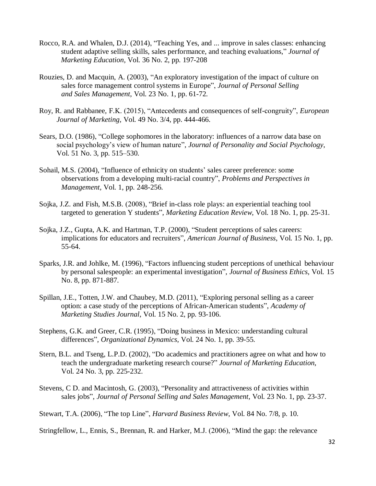- Rocco, R.A. and Whalen, D.J. (2014), "Teaching Yes, and ... improve in sales classes: enhancing student adaptive selling skills, sales performance, and teaching evaluations," *Journal of Marketing Education,* Vol. 36 No. 2, pp. 197-208
- Rouzies, D. and Macquin, A. (2003), "An exploratory investigation of the impact of culture on sales force management control systems in Europe", *Journal of Personal Selling and Sales Management*, Vol. 23 No. 1, pp. 61-72.
- Roy, R. and Rabbanee, F.K. (2015), "Antecedents and consequences of self-congruity", *European Journal of Marketing,* Vol. 49 No. 3/4, pp. 444-466.
- Sears, D.O. (1986), "College sophomores in the laboratory: influences of a narrow data base on social psychology's view of human nature", *Journal of Personality and Social Psychology*, Vol. 51 No. 3, pp. 515–530.
- Sohail, M.S. (2004), "Influence of ethnicity on students' sales career preference: some observations from a developing multi-racial country", *Problems and Perspectives in Management,* Vol. 1, pp. 248-256.
- Sojka, J.Z. and Fish, M.S.B. (2008), "Brief in-class role plays: an experiential teaching tool targeted to generation Y students", *Marketing Education Review*, Vol. 18 No. 1, pp. 25-31.
- Sojka, J.Z., Gupta, A.K. and Hartman, T.P. (2000), "Student perceptions of sales careers: implications for educators and recruiters", *American Journal of Business*, Vol. 15 No. 1, pp. 55-64.
- Sparks, J.R. and Johlke, M. (1996), "Factors influencing student perceptions of unethical behaviour by personal salespeople: an experimental investigation", *Journal of Business Ethics*, Vol. 15 No. 8, pp. 871-887.
- Spillan, J.E., Totten, J.W. and Chaubey, M.D. (2011), "Exploring personal selling as a career option: a case study of the perceptions of African-American students", *Academy of Marketing Studies Journal*, Vol. 15 No. 2, pp. 93-106.
- Stephens, G.K. and Greer, C.R. (1995), "Doing business in Mexico: understanding cultural differences", *Organizational Dynamics*, Vol. 24 No. 1, pp. 39-55.
- Stern, B.L. and Tseng, L.P.D. (2002), "Do academics and practitioners agree on what and how to teach the undergraduate marketing research course?" *Journal of Marketing Education*, Vol. 24 No. 3, pp. 225-232.
- Stevens, C D. and Macintosh, G. (2003), "Personality and attractiveness of activities within sales jobs", *Journal of Personal Selling and Sales Management,* Vol. 23 No. 1, pp. 23-37.

Stewart, T.A. (2006), "The top Line", *Harvard Business Review*, Vol. 84 No. 7/8*,* p. 10.

Stringfellow, L., Ennis, S., Brennan, R. and Harker, M.J. (2006), "Mind the gap: the relevance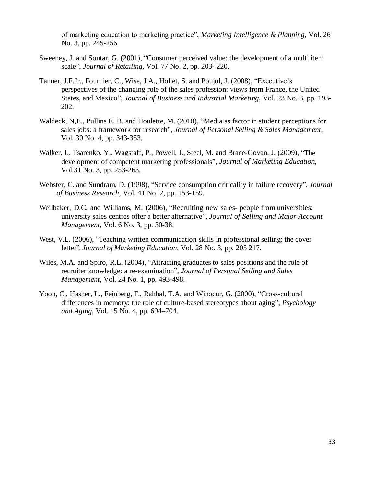of marketing education to marketing practice", *Marketing Intelligence & Planning,* Vol. 26 No. 3, pp. 245-256.

- Sweeney, J. and Soutar, G. (2001), "Consumer perceived value: the development of a multi item scale", *Journal of Retailing*, Vol. 77 No. 2, pp*.* 203- 220.
- Tanner, J.F.Jr., Fournier, C., Wise, J.A., Hollet, S. and Poujol, J. (2008), "Executive's perspectives of the changing role of the sales profession: views from France, the United States, and Mexico", *Journal of Business and Industrial Marketing,* Vol. 23 No*.* 3, pp. 193- 202.
- Waldeck, N,E., Pullins E, B. and Houlette, M. (2010), ["Media as factor in student perceptions for](http://www.tandfonline.com/doi/abs/10.2753/PSS0885-3134300404)  sales jobs: a [framework for research"](http://www.tandfonline.com/doi/abs/10.2753/PSS0885-3134300404), *Journal of Personal Selling & Sales Management,* Vol. 30 No. 4, pp. 343-353.
- Walker, I., Tsarenko, Y., Wagstaff, P., Powell, I., Steel, M. and Brace-Govan, J. (2009), "The development of competent marketing professionals", *Journal of Marketing Education,* Vol.31 No. 3, pp. 253-263.
- Webster, C. and Sundram, D. (1998), "Service consumption criticality in failure recovery", *Journal of Business Research*, Vol. 41 No. 2, pp. 153-159.
- Weilbaker, D.C. and Williams, M. (2006), "Recruiting new sales- people from universities: university sales centres offer a better alternative", *Journal of Selling and Major Account Management*, Vol. 6 No*.* 3, pp. 30-38.
- West, V.L. (2006), "Teaching written communication skills in professional selling: the cover letter", *Journal of Marketing Education*, Vol. 28 No. 3, pp. 205 217.
- Wiles, M.A. and Spiro, R.L. (2004), "Attracting graduates to sales positions and the role of recruiter knowledge: a re-examination", *Journal of Personal Selling and Sales Management,* Vol. 24 No*.* 1, pp. 493-498.
- Yoon, C., Hasher, L., Feinberg, F., Rahhal, T.A. and Winocur, G. (2000), "Cross-cultural differences in memory: the role of culture-based stereotypes about aging", *Psychology and Aging*, Vol. 15 No. 4, pp. 694–704.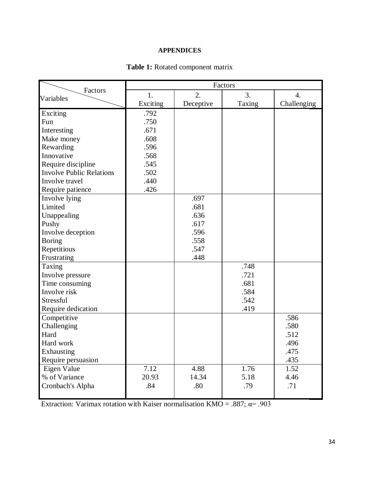#### **APPENDICES**

|                                 | Factors  |           |        |                  |
|---------------------------------|----------|-----------|--------|------------------|
| Factors<br>Variables            | 1.       | 2.        | 3.     | $\overline{4}$ . |
|                                 | Exciting | Deceptive | Taxing | Challenging      |
| Exciting                        | .792     |           |        |                  |
| Fun                             | .750     |           |        |                  |
| Interesting                     | .671     |           |        |                  |
| Make money                      | .608     |           |        |                  |
| Rewarding                       | .596     |           |        |                  |
| Innovative                      | .568     |           |        |                  |
| Require discipline              | .545     |           |        |                  |
| <b>Involve Public Relations</b> | .502     |           |        |                  |
| Involve travel                  | .440     |           |        |                  |
| Require patience                | .426     |           |        |                  |
| Involve lying                   |          | .697      |        |                  |
| Limited                         |          | .681      |        |                  |
| Unappealing                     |          | .636      |        |                  |
| Pushy                           |          | .617      |        |                  |
| Involve deception               |          | .596      |        |                  |
| <b>Boring</b>                   |          | .558      |        |                  |
| Repetitious                     |          | .547      |        |                  |
| Frustrating                     |          | .448      |        |                  |
| Taxing                          |          |           | .748   |                  |
| Involve pressure                |          |           | .721   |                  |
| Time consuming                  |          |           | .681   |                  |
| Involve risk                    |          |           | .584   |                  |
| Stressful                       |          |           | .542   |                  |
| Require dedication              |          |           | .419   |                  |
| Competitive                     |          |           |        | .586             |
| Challenging                     |          |           |        | .580             |
| Hard                            |          |           |        | .512             |
| Hard work                       |          |           |        | .496             |
| Exhausting                      |          |           |        | .475             |
| Require persuasion              |          |           |        | .435             |
| Eigen Value                     | 7.12     | 4.88      | 1.76   | 1.52             |
| % of Variance                   | 20.93    | 14.34     | 5.18   | 4.46             |
| Cronbach's Alpha                | .84      | .80       | .79    | .71              |
|                                 |          |           |        |                  |

### **Table 1:** Rotated component matrix

Extraction: Varimax rotation with Kaiser normalisation KMO = .887;  $\alpha$ = .903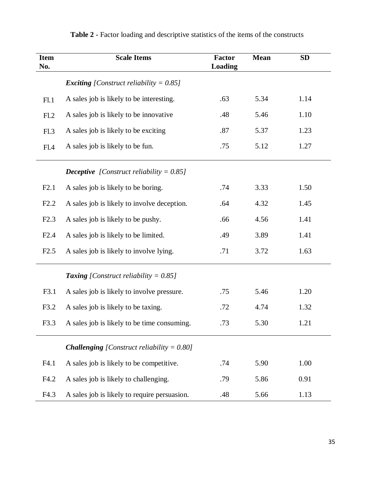| <b>Item</b><br>No. | <b>Scale Items</b>                                   | <b>Factor</b><br><b>Loading</b> | <b>Mean</b> | <b>SD</b> |
|--------------------|------------------------------------------------------|---------------------------------|-------------|-----------|
|                    | <b>Exciting</b> [Construct reliability = $0.85$ ]    |                                 |             |           |
| F1.1               | A sales job is likely to be interesting.             | .63                             | 5.34        | 1.14      |
| F1.2               | A sales job is likely to be innovative               | .48                             | 5.46        | 1.10      |
| F1.3               | A sales job is likely to be exciting                 | .87                             | 5.37        | 1.23      |
| F1.4               | A sales job is likely to be fun.                     | .75                             | 5.12        | 1.27      |
|                    | <b>Deceptive</b> [Construct reliability = $0.85$ ]   |                                 |             |           |
| F2.1               | A sales job is likely to be boring.                  | .74                             | 3.33        | 1.50      |
| F2.2               | A sales job is likely to involve deception.          | .64                             | 4.32        | 1.45      |
| F2.3               | A sales job is likely to be pushy.                   | .66                             | 4.56        | 1.41      |
| F2.4               | A sales job is likely to be limited.                 | .49                             | 3.89        | 1.41      |
| F2.5               | A sales job is likely to involve lying.              | .71                             | 3.72        | 1.63      |
|                    | <b>Taxing</b> [Construct reliability = $0.85$ ]      |                                 |             |           |
| F3.1               | A sales job is likely to involve pressure.           | .75                             | 5.46        | 1.20      |
| F3.2               | A sales job is likely to be taxing.                  | .72                             | 4.74        | 1.32      |
| F3.3               | A sales job is likely to be time consuming.          | .73                             | 5.30        | 1.21      |
|                    | <b>Challenging</b> [Construct reliability = $0.80$ ] |                                 |             |           |
| F4.1               | A sales job is likely to be competitive.             | .74                             | 5.90        | 1.00      |
| F4.2               | A sales job is likely to challenging.                | .79                             | 5.86        | 0.91      |
| F4.3               | A sales job is likely to require persuasion.         | .48                             | 5.66        | 1.13      |

# **Table 2 -** Factor loading and descriptive statistics of the items of the constructs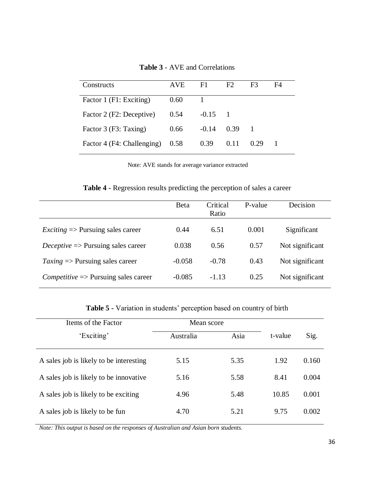| Constructs                 | <b>AVE</b> | F1      | F2   | F <sup>3</sup> | F4 |
|----------------------------|------------|---------|------|----------------|----|
| Factor 1 (F1: Exciting)    | 0.60       |         |      |                |    |
| Factor 2 (F2: Deceptive)   | 0.54       | $-0.15$ |      |                |    |
| Factor 3 (F3: Taxing)      | 0.66       | $-0.14$ | 0.39 |                |    |
| Factor 4 (F4: Challenging) | 0.58       | 0.39    | 0.11 | 0.29           |    |

**Table 3** - AVE and Correlations

Note: AVE stands for average variance extracted

**Table 4 -** Regression results predicting the perception of sales a career

|                                                          | Beta     | Critical<br>Ratio | P-value | Decision        |
|----------------------------------------------------------|----------|-------------------|---------|-----------------|
| <i>Exciting</i> $\Rightarrow$ Pursuing sales career      | 0.44     | 6.51              | 0.001   | Significant     |
| <i>Deceptive</i> $\Rightarrow$ Pursuing sales career     | 0.038    | 0.56              | 0.57    | Not significant |
| $Taxing \Rightarrow$ Pursuing sales career               | $-0.058$ | $-0.78$           | 0.43    | Not significant |
| $\textit{Competitive} \Rightarrow$ Pursuing sales career | $-0.085$ | $-1.13$           | 0.25    | Not significant |

**Table 5 -** Variation in students' perception based on country of birth

| Items of the Factor                     | Mean score |      |         |       |
|-----------------------------------------|------------|------|---------|-------|
| 'Exciting'                              | Australia  | Asia | t-value | Sig.  |
| A sales job is likely to be interesting | 5.15       | 5.35 | 1.92    | 0.160 |
| A sales job is likely to be innovative. | 5.16       | 5.58 | 8.41    | 0.004 |
| A sales job is likely to be exciting    | 4.96       | 5.48 | 10.85   | 0.001 |
| A sales job is likely to be fun         | 4.70       | 5.21 | 9.75    | 0.002 |

*Note: This output is based on the responses of Australian and Asian born students.*